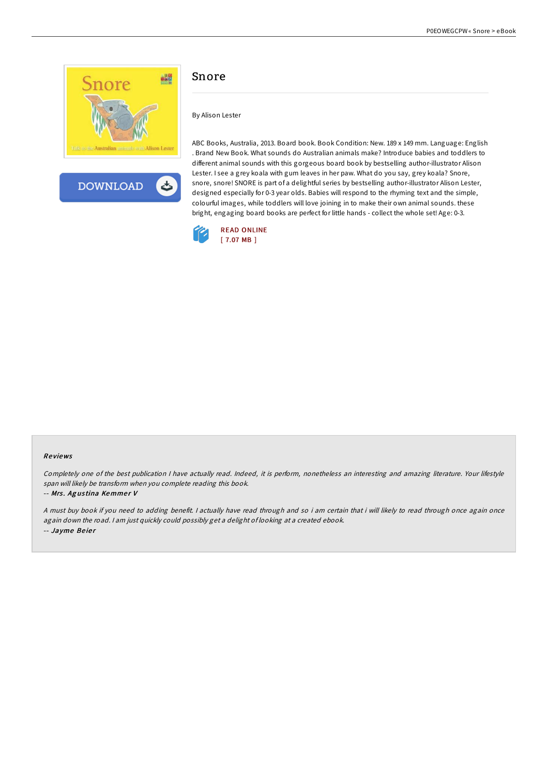



## Snore

By Alison Lester

ABC Books, Australia, 2013. Board book. Book Condition: New. 189 x 149 mm. Language: English . Brand New Book. What sounds do Australian animals make? Introduce babies and toddlers to different animal sounds with this gorgeous board book by bestselling author-illustrator Alison Lester. I see a grey koala with gum leaves in her paw. What do you say, grey koala? Snore, snore, snore! SNORE is part of a delightful series by bestselling author-illustrator Alison Lester, designed especially for 0-3 year olds. Babies will respond to the rhyming text and the simple, colourful images, while toddlers will love joining in to make their own animal sounds. these bright, engaging board books are perfect for little hands - collect the whole set! Age: 0-3.



## Re views

Completely one of the best publication <sup>I</sup> have actually read. Indeed, it is perform, nonetheless an interesting and amazing literature. Your lifestyle span will likely be transform when you complete reading this book.

-- Mrs. Agustina Kemmer V

<sup>A</sup> must buy book if you need to adding benefit. <sup>I</sup> actually have read through and so i am certain that i will likely to read through once again once again down the road. <sup>I</sup> am just quickly could possibly get <sup>a</sup> delight of looking at <sup>a</sup> created ebook. -- Jayme Beier